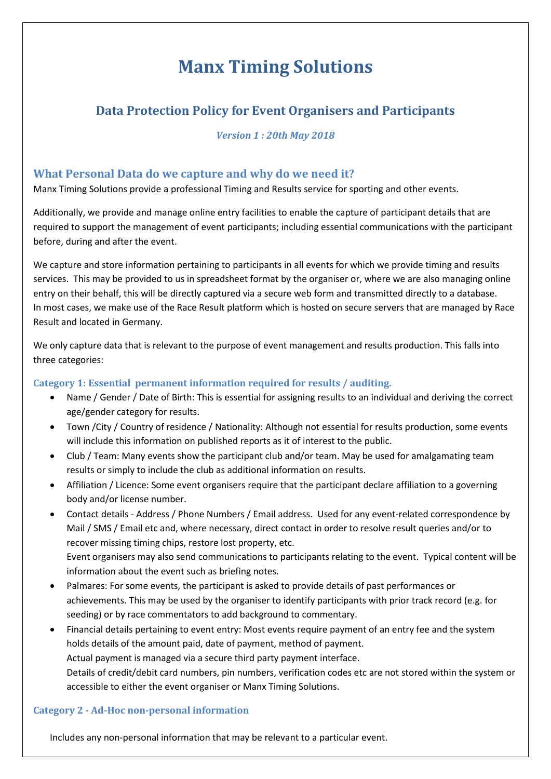# **Manx Timing Solutions**

# **Data Protection Policy for Event Organisers and Participants**

#### *Version 1 : 20th May 2018*

## **What Personal Data do we capture and why do we need it?**

Manx Timing Solutions provide a professional Timing and Results service for sporting and other events.

Additionally, we provide and manage online entry facilities to enable the capture of participant details that are required to support the management of event participants; including essential communications with the participant before, during and after the event.

We capture and store information pertaining to participants in all events for which we provide timing and results services. This may be provided to us in spreadsheet format by the organiser or, where we are also managing online entry on their behalf, this will be directly captured via a secure web form and transmitted directly to a database. In most cases, we make use of the Race Result platform which is hosted on secure servers that are managed by Race Result and located in Germany.

We only capture data that is relevant to the purpose of event management and results production. This falls into three categories:

### **Category 1: Essential permanent information required for results / auditing.**

- Name / Gender / Date of Birth: This is essential for assigning results to an individual and deriving the correct age/gender category for results.
- Town /City / Country of residence / Nationality: Although not essential for results production, some events will include this information on published reports as it of interest to the public.
- Club / Team: Many events show the participant club and/or team. May be used for amalgamating team results or simply to include the club as additional information on results.
- Affiliation / Licence: Some event organisers require that the participant declare affiliation to a governing body and/or license number.
- Contact details Address / Phone Numbers / Email address. Used for any event-related correspondence by Mail / SMS / Email etc and, where necessary, direct contact in order to resolve result queries and/or to recover missing timing chips, restore lost property, etc. Event organisers may also send communications to participants relating to the event. Typical content will be
- Palmares: For some events, the participant is asked to provide details of past performances or achievements. This may be used by the organiser to identify participants with prior track record (e.g. for seeding) or by race commentators to add background to commentary.
- Financial details pertaining to event entry: Most events require payment of an entry fee and the system holds details of the amount paid, date of payment, method of payment. Actual payment is managed via a secure third party payment interface. Details of credit/debit card numbers, pin numbers, verification codes etc are not stored within the system or accessible to either the event organiser or Manx Timing Solutions.

### **Category 2 - Ad-Hoc non-personal information**

information about the event such as briefing notes.

Includes any non-personal information that may be relevant to a particular event.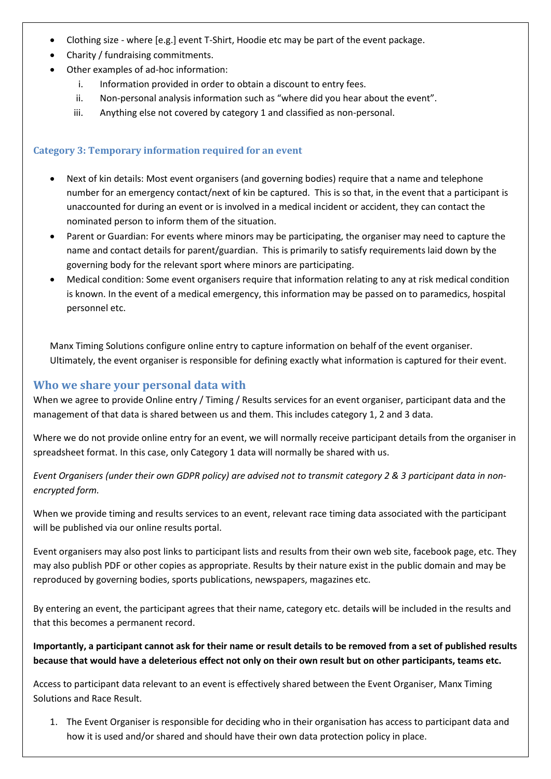- Clothing size where [e.g.] event T-Shirt, Hoodie etc may be part of the event package.
- Charity / fundraising commitments.
- Other examples of ad-hoc information:
	- i. Information provided in order to obtain a discount to entry fees.
	- ii. Non-personal analysis information such as "where did you hear about the event".
	- iii. Anything else not covered by category 1 and classified as non-personal.

#### **Category 3: Temporary information required for an event**

- Next of kin details: Most event organisers (and governing bodies) require that a name and telephone number for an emergency contact/next of kin be captured. This is so that, in the event that a participant is unaccounted for during an event or is involved in a medical incident or accident, they can contact the nominated person to inform them of the situation.
- Parent or Guardian: For events where minors may be participating, the organiser may need to capture the name and contact details for parent/guardian. This is primarily to satisfy requirements laid down by the governing body for the relevant sport where minors are participating.
- Medical condition: Some event organisers require that information relating to any at risk medical condition is known. In the event of a medical emergency, this information may be passed on to paramedics, hospital personnel etc.

Manx Timing Solutions configure online entry to capture information on behalf of the event organiser. Ultimately, the event organiser is responsible for defining exactly what information is captured for their event.

#### **Who we share your personal data with**

When we agree to provide Online entry / Timing / Results services for an event organiser, participant data and the management of that data is shared between us and them. This includes category 1, 2 and 3 data.

Where we do not provide online entry for an event, we will normally receive participant details from the organiser in spreadsheet format. In this case, only Category 1 data will normally be shared with us.

*Event Organisers (under their own GDPR policy) are advised not to transmit category 2 & 3 participant data in nonencrypted form.*

When we provide timing and results services to an event, relevant race timing data associated with the participant will be published via our online results portal.

Event organisers may also post links to participant lists and results from their own web site, facebook page, etc. They may also publish PDF or other copies as appropriate. Results by their nature exist in the public domain and may be reproduced by governing bodies, sports publications, newspapers, magazines etc.

By entering an event, the participant agrees that their name, category etc. details will be included in the results and that this becomes a permanent record.

#### **Importantly, a participant cannot ask for their name or result details to be removed from a set of published results because that would have a deleterious effect not only on their own result but on other participants, teams etc.**

Access to participant data relevant to an event is effectively shared between the Event Organiser, Manx Timing Solutions and Race Result.

1. The Event Organiser is responsible for deciding who in their organisation has access to participant data and how it is used and/or shared and should have their own data protection policy in place.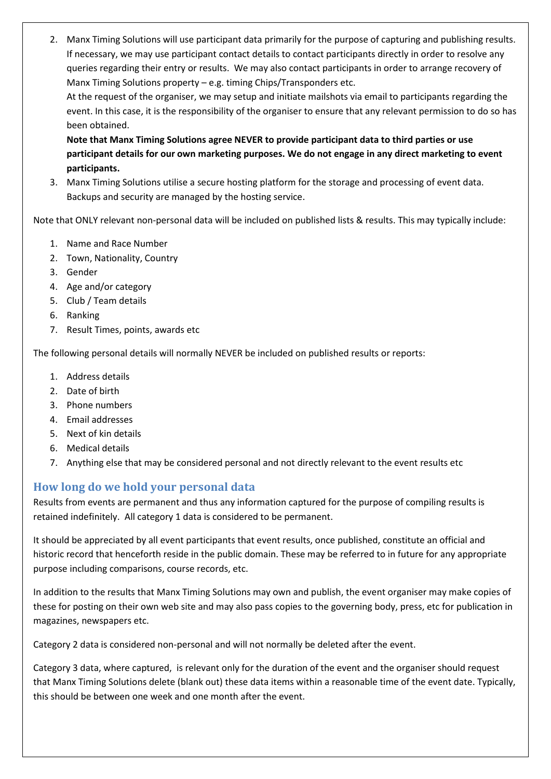2. Manx Timing Solutions will use participant data primarily for the purpose of capturing and publishing results. If necessary, we may use participant contact details to contact participants directly in order to resolve any queries regarding their entry or results. We may also contact participants in order to arrange recovery of Manx Timing Solutions property – e.g. timing Chips/Transponders etc.

At the request of the organiser, we may setup and initiate mailshots via email to participants regarding the event. In this case, it is the responsibility of the organiser to ensure that any relevant permission to do so has been obtained.

**Note that Manx Timing Solutions agree NEVER to provide participant data to third parties or use participant details for our own marketing purposes. We do not engage in any direct marketing to event participants.**

3. Manx Timing Solutions utilise a secure hosting platform for the storage and processing of event data. Backups and security are managed by the hosting service.

Note that ONLY relevant non-personal data will be included on published lists & results. This may typically include:

- 1. Name and Race Number
- 2. Town, Nationality, Country
- 3. Gender
- 4. Age and/or category
- 5. Club / Team details
- 6. Ranking
- 7. Result Times, points, awards etc

The following personal details will normally NEVER be included on published results or reports:

- 1. Address details
- 2. Date of birth
- 3. Phone numbers
- 4. Email addresses
- 5. Next of kin details
- 6. Medical details
- 7. Anything else that may be considered personal and not directly relevant to the event results etc

## **How long do we hold your personal data**

Results from events are permanent and thus any information captured for the purpose of compiling results is retained indefinitely. All category 1 data is considered to be permanent.

It should be appreciated by all event participants that event results, once published, constitute an official and historic record that henceforth reside in the public domain. These may be referred to in future for any appropriate purpose including comparisons, course records, etc.

In addition to the results that Manx Timing Solutions may own and publish, the event organiser may make copies of these for posting on their own web site and may also pass copies to the governing body, press, etc for publication in magazines, newspapers etc.

Category 2 data is considered non-personal and will not normally be deleted after the event.

Category 3 data, where captured, is relevant only for the duration of the event and the organiser should request that Manx Timing Solutions delete (blank out) these data items within a reasonable time of the event date. Typically, this should be between one week and one month after the event.